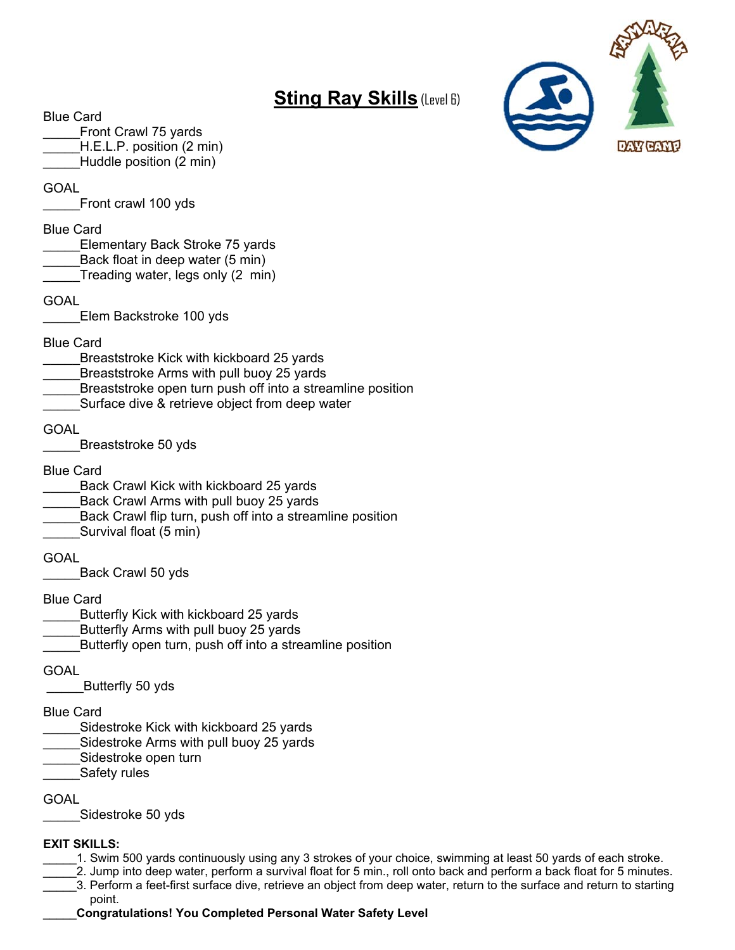## **Sting Ray Skills** (Level 6)



Front Crawl 75 yards

H.E.L.P. position (2 min)

Huddle position (2 min)

GOAL

Front crawl 100 yds

#### Blue Card

- Elementary Back Stroke 75 yards
- Back float in deep water (5 min)
- Treading water, legs only (2 min)

GOAL

\_\_\_\_\_Elem Backstroke 100 yds

Blue Card

- \_\_\_\_\_Breaststroke Kick with kickboard 25 yards
- Breaststroke Arms with pull buoy 25 yards
- Breaststroke open turn push off into a streamline position
- Surface dive & retrieve object from deep water

**GOAL** 

Breaststroke 50 yds

Blue Card

- Back Crawl Kick with kickboard 25 yards
- Back Crawl Arms with pull buoy 25 yards
- Back Crawl flip turn, push off into a streamline position
- Survival float (5 min)

GOAL

\_\_\_\_\_Back Crawl 50 yds

Blue Card

- Butterfly Kick with kickboard 25 yards
- Butterfly Arms with pull buoy 25 yards
- Butterfly open turn, push off into a streamline position

**GOAL** 

\_\_\_\_\_Butterfly 50 yds

#### Blue Card

- Sidestroke Kick with kickboard 25 yards
- Sidestroke Arms with pull buoy 25 yards
- Sidestroke open turn
- Safety rules

**GOAL** 

Sidestroke 50 yds

#### **EXIT SKILLS:**

- \_\_\_\_\_1. Swim 500 yards continuously using any 3 strokes of your choice, swimming at least 50 yards of each stroke.
- \_\_\_\_\_2. Jump into deep water, perform a survival float for 5 min., roll onto back and perform a back float for 5 minutes.
- \_\_\_\_\_3. Perform a feet-first surface dive, retrieve an object from deep water, return to the surface and return to starting point.

\_\_\_\_\_**Congratulations! You Completed Personal Water Safety Level** 

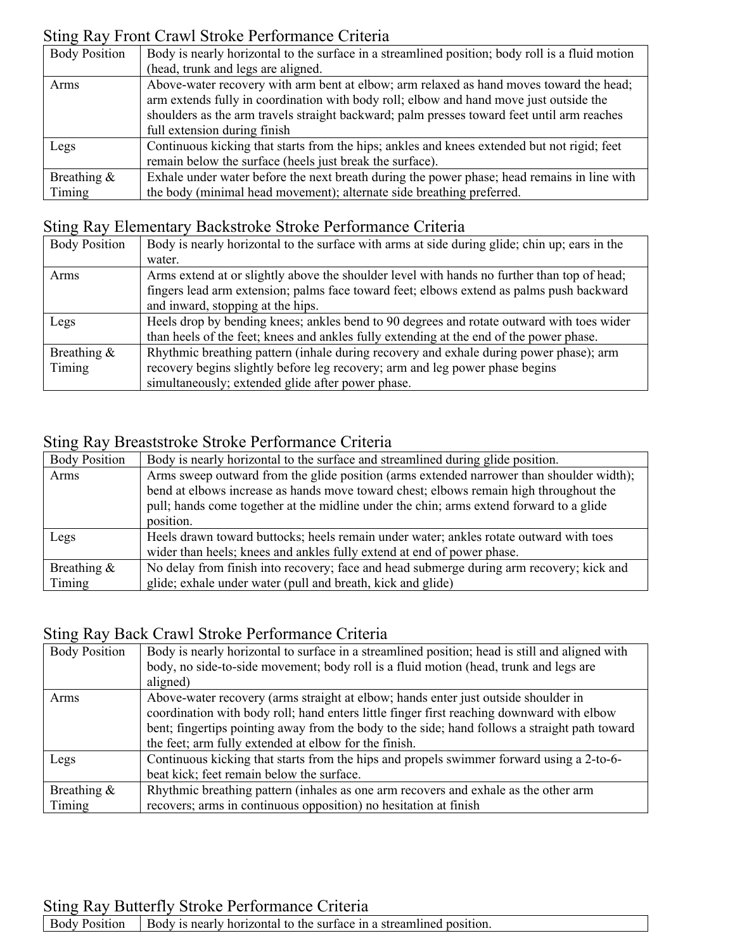## Sting Ray Front Crawl Stroke Performance Criteria

| <b>Body Position</b> | Body is nearly horizontal to the surface in a streamlined position; body roll is a fluid motion                                                                                                                                                                                 |
|----------------------|---------------------------------------------------------------------------------------------------------------------------------------------------------------------------------------------------------------------------------------------------------------------------------|
|                      | (head, trunk and legs are aligned.                                                                                                                                                                                                                                              |
| Arms                 | Above-water recovery with arm bent at elbow; arm relaxed as hand moves toward the head;<br>arm extends fully in coordination with body roll; elbow and hand move just outside the<br>shoulders as the arm travels straight backward; palm presses toward feet until arm reaches |
|                      | full extension during finish                                                                                                                                                                                                                                                    |
| Legs                 | Continuous kicking that starts from the hips; ankles and knees extended but not rigid; feet<br>remain below the surface (heels just break the surface).                                                                                                                         |
| Breathing $\&$       | Exhale under water before the next breath during the power phase; head remains in line with                                                                                                                                                                                     |
| Timing               | the body (minimal head movement); alternate side breathing preferred.                                                                                                                                                                                                           |

### Sting Ray Elementary Backstroke Stroke Performance Criteria

| <b>Body Position</b> | Body is nearly horizontal to the surface with arms at side during glide; chin up; ears in the |
|----------------------|-----------------------------------------------------------------------------------------------|
|                      | water.                                                                                        |
| Arms                 | Arms extend at or slightly above the shoulder level with hands no further than top of head;   |
|                      | fingers lead arm extension; palms face toward feet; elbows extend as palms push backward      |
|                      | and inward, stopping at the hips.                                                             |
| Legs                 | Heels drop by bending knees; ankles bend to 90 degrees and rotate outward with toes wider     |
|                      | than heels of the feet; knees and ankles fully extending at the end of the power phase.       |
| Breathing &          | Rhythmic breathing pattern (inhale during recovery and exhale during power phase); arm        |
| Timing               | recovery begins slightly before leg recovery; arm and leg power phase begins                  |
|                      | simultaneously; extended glide after power phase.                                             |

#### Sting Ray Breaststroke Stroke Performance Criteria

| <b>Body Position</b> | Body is nearly horizontal to the surface and streamlined during glide position.          |
|----------------------|------------------------------------------------------------------------------------------|
| Arms                 | Arms sweep outward from the glide position (arms extended narrower than shoulder width); |
|                      | bend at elbows increase as hands move toward chest; elbows remain high throughout the    |
|                      | pull; hands come together at the midline under the chin; arms extend forward to a glide  |
|                      | position.                                                                                |
| Legs                 | Heels drawn toward buttocks; heels remain under water; ankles rotate outward with toes   |
|                      | wider than heels; knees and ankles fully extend at end of power phase.                   |
| Breathing $\&$       | No delay from finish into recovery; face and head submerge during arm recovery; kick and |
| Timing               | glide; exhale under water (pull and breath, kick and glide)                              |

## Sting Ray Back Crawl Stroke Performance Criteria

| <b>Body Position</b> | Body is nearly horizontal to surface in a streamlined position; head is still and aligned with |
|----------------------|------------------------------------------------------------------------------------------------|
|                      | body, no side-to-side movement; body roll is a fluid motion (head, trunk and legs are          |
|                      | aligned)                                                                                       |
| Arms                 | Above-water recovery (arms straight at elbow; hands enter just outside shoulder in             |
|                      | coordination with body roll; hand enters little finger first reaching downward with elbow      |
|                      | bent; fingertips pointing away from the body to the side; hand follows a straight path toward  |
|                      | the feet; arm fully extended at elbow for the finish.                                          |
| Legs                 | Continuous kicking that starts from the hips and propels swimmer forward using a 2-to-6-       |
|                      | beat kick; feet remain below the surface.                                                      |
| Breathing $\&$       | Rhythmic breathing pattern (inhales as one arm recovers and exhale as the other arm            |
| Timing               | recovers; arms in continuous opposition) no hesitation at finish                               |

### Sting Ray Butterfly Stroke Performance Criteria

Body Position Body is nearly horizontal to the surface in a streamlined position.